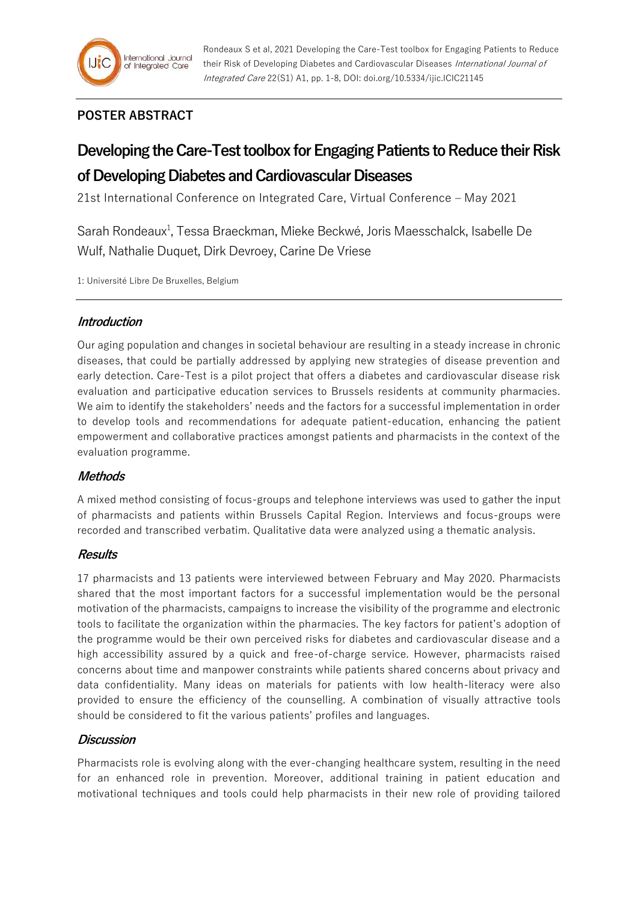

# **POSTER ABSTRACT**

# **Developing the Care-Test toolbox for Engaging Patients to Reduce their Risk of Developing Diabetes and Cardiovascular Diseases**

21st International Conference on Integrated Care, Virtual Conference – May 2021

Sarah Rondeaux<sup>1</sup>, Tessa Braeckman, Mieke Beckwé, Joris Maesschalck, Isabelle De Wulf, Nathalie Duquet, Dirk Devroey, Carine De Vriese

1: Université Libre De Bruxelles, Belgium

## **Introduction**

Our aging population and changes in societal behaviour are resulting in a steady increase in chronic diseases, that could be partially addressed by applying new strategies of disease prevention and early detection. Care-Test is a pilot project that offers a diabetes and cardiovascular disease risk evaluation and participative education services to Brussels residents at community pharmacies. We aim to identify the stakeholders' needs and the factors for a successful implementation in order to develop tools and recommendations for adequate patient-education, enhancing the patient empowerment and collaborative practices amongst patients and pharmacists in the context of the evaluation programme.

# **Methods**

A mixed method consisting of focus-groups and telephone interviews was used to gather the input of pharmacists and patients within Brussels Capital Region. Interviews and focus-groups were recorded and transcribed verbatim. Qualitative data were analyzed using a thematic analysis.

## **Results**

17 pharmacists and 13 patients were interviewed between February and May 2020. Pharmacists shared that the most important factors for a successful implementation would be the personal motivation of the pharmacists, campaigns to increase the visibility of the programme and electronic tools to facilitate the organization within the pharmacies. The key factors for patient's adoption of the programme would be their own perceived risks for diabetes and cardiovascular disease and a high accessibility assured by a quick and free-of-charge service. However, pharmacists raised concerns about time and manpower constraints while patients shared concerns about privacy and data confidentiality. Many ideas on materials for patients with low health-literacy were also provided to ensure the efficiency of the counselling. A combination of visually attractive tools should be considered to fit the various patients' profiles and languages.

## **Discussion**

Pharmacists role is evolving along with the ever-changing healthcare system, resulting in the need for an enhanced role in prevention. Moreover, additional training in patient education and motivational techniques and tools could help pharmacists in their new role of providing tailored